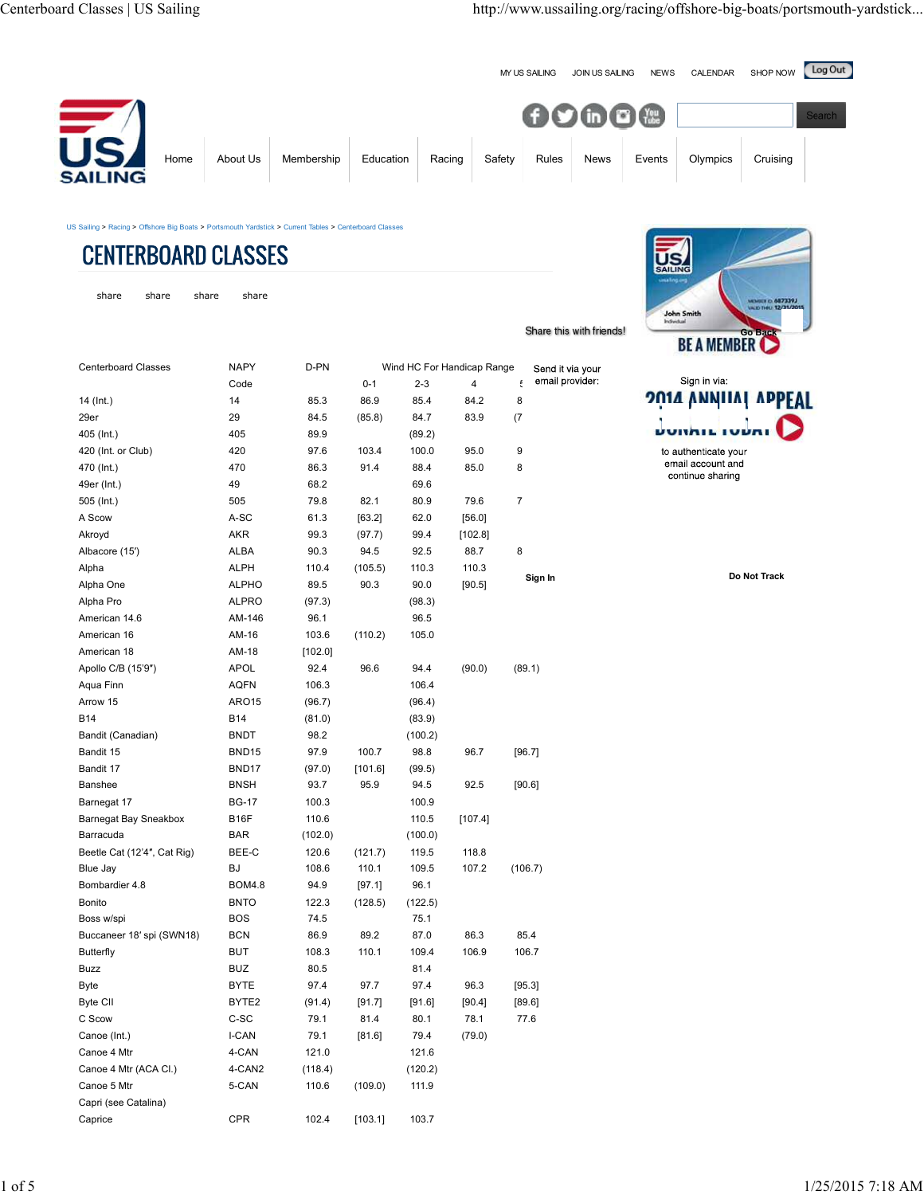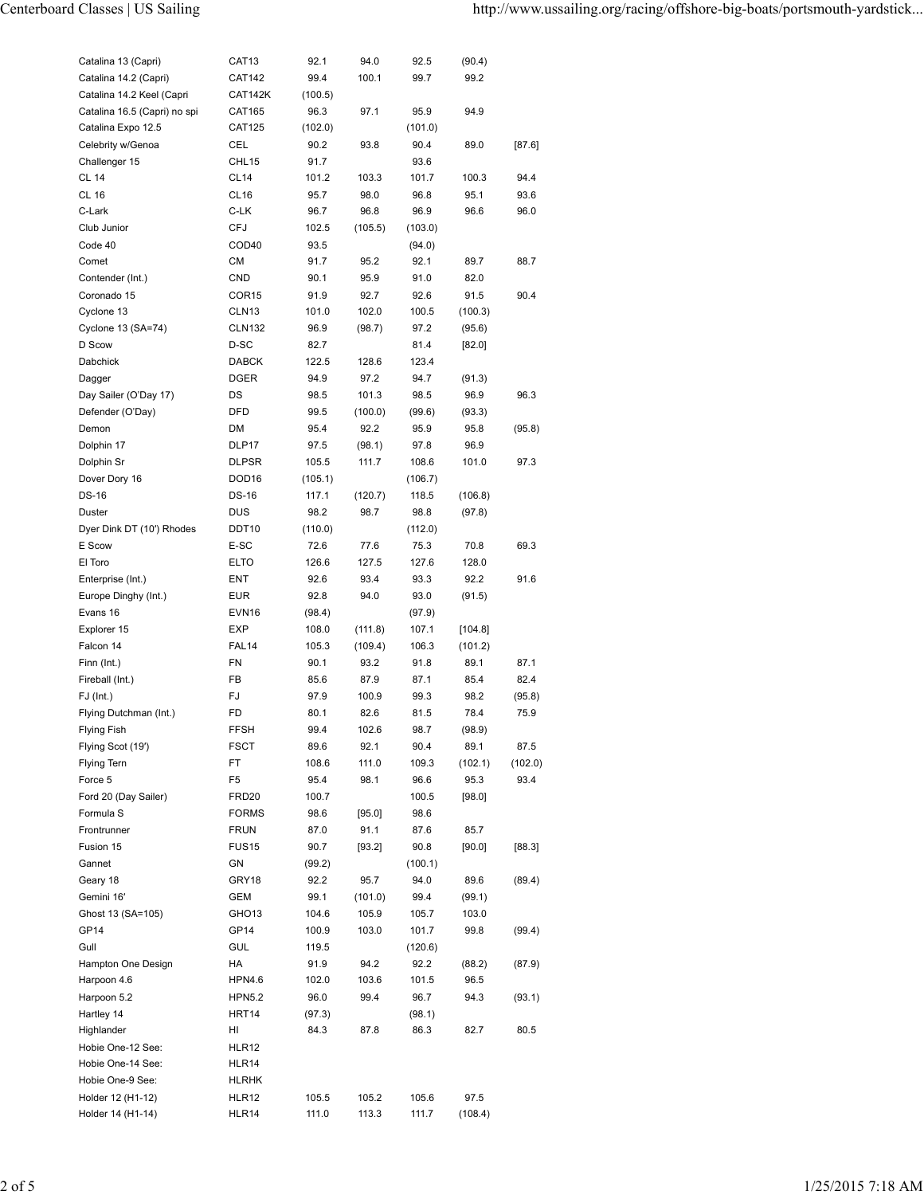| Catalina 13 (Capri)               | CAT <sub>13</sub>           | 92.1           | 94.0               | 92.5          | (90.4)             |                |
|-----------------------------------|-----------------------------|----------------|--------------------|---------------|--------------------|----------------|
| Catalina 14.2 (Capri)             | <b>CAT142</b>               | 99.4           | 100.1              | 99.7          | 99.2               |                |
| Catalina 14.2 Keel (Capri         | CAT142K                     | (100.5)        |                    |               |                    |                |
| Catalina 16.5 (Capri) no spi      | CAT165                      | 96.3           | 97.1               | 95.9          | 94.9               |                |
| Catalina Expo 12.5                | <b>CAT125</b>               | (102.0)        |                    | (101.0)       |                    |                |
| Celebrity w/Genoa                 | CEL                         | 90.2           | 93.8               | 90.4          | 89.0               | [87.6]         |
| Challenger 15                     | CHL <sub>15</sub>           | 91.7           |                    | 93.6          |                    |                |
| CL 14                             | CL <sub>14</sub>            | 101.2          | 103.3              | 101.7         | 100.3              | 94.4           |
| <b>CL 16</b>                      | CL <sub>16</sub>            | 95.7           | 98.0               | 96.8          | 95.1               | 93.6           |
| C-Lark                            | C-LK                        | 96.7           | 96.8               | 96.9          | 96.6               | 96.0           |
| Club Junior                       | <b>CFJ</b>                  | 102.5          | (105.5)            | (103.0)       |                    |                |
| Code 40                           | COD40                       | 93.5           |                    | (94.0)        |                    |                |
| Comet                             | СM                          | 91.7           | 95.2               | 92.1          | 89.7               | 88.7           |
| Contender (Int.)                  | <b>CND</b>                  | 90.1           | 95.9               | 91.0          | 82.0               |                |
| Coronado 15                       | COR <sub>15</sub>           | 91.9           | 92.7               | 92.6          | 91.5               | 90.4           |
| Cyclone 13                        | CLN <sub>13</sub>           | 101.0          | 102.0              | 100.5         | (100.3)            |                |
| Cyclone 13 (SA=74)                | <b>CLN132</b>               | 96.9           | (98.7)             | 97.2          | (95.6)             |                |
| D Scow                            | D-SC                        | 82.7           |                    | 81.4          | [82.0]             |                |
| Dabchick                          | <b>DABCK</b>                | 122.5          | 128.6              | 123.4         |                    |                |
| Dagger                            | <b>DGER</b>                 | 94.9           | 97.2               | 94.7          | (91.3)             |                |
| Day Sailer (O'Day 17)             | DS                          | 98.5           | 101.3              | 98.5          | 96.9               | 96.3           |
| Defender (O'Day)                  | DFD                         | 99.5           | (100.0)            | (99.6)        | (93.3)             |                |
| Demon                             | DM                          | 95.4           | 92.2               | 95.9          | 95.8               | (95.8)         |
| Dolphin 17                        | DLP17                       | 97.5           | (98.1)             | 97.8          | 96.9               |                |
| Dolphin Sr                        | <b>DLPSR</b>                | 105.5          | 111.7              | 108.6         | 101.0              | 97.3           |
| Dover Dory 16                     | DOD <sub>16</sub>           | (105.1)        |                    | (106.7)       |                    |                |
| <b>DS-16</b>                      | <b>DS-16</b>                | 117.1          | (120.7)            | 118.5         | (106.8)            |                |
| Duster                            | <b>DUS</b>                  | 98.2           | 98.7               | 98.8          | (97.8)             |                |
| Dyer Dink DT (10') Rhodes         | DDT10                       | (110.0)        |                    | (112.0)       |                    |                |
| E Scow                            | E-SC                        | 72.6           | 77.6               | 75.3          | 70.8               | 69.3           |
| El Toro                           | <b>ELTO</b>                 | 126.6          | 127.5              | 127.6         | 128.0              |                |
| Enterprise (Int.)                 | ENT                         | 92.6           | 93.4               | 93.3          | 92.2               | 91.6           |
| Europe Dinghy (Int.)              | <b>EUR</b>                  | 92.8           | 94.0               | 93.0          | (91.5)             |                |
| Evans 16                          | EVN <sub>16</sub>           | (98.4)         |                    |               |                    |                |
|                                   |                             |                |                    | (97.9)        |                    |                |
| Explorer 15<br>Falcon 14          | EXP<br>FAL14                | 108.0<br>105.3 | (111.8)<br>(109.4) | 107.1         | [104.8]<br>(101.2) |                |
|                                   | FN                          | 90.1           | 93.2               | 106.3<br>91.8 | 89.1               | 87.1           |
| Finn (Int.)<br>Fireball (Int.)    | FB                          | 85.6           | 87.9               | 87.1          | 85.4               | 82.4           |
| $FJ$ (Int.)                       | FJ                          | 97.9           | 100.9              | 99.3          | 98.2               |                |
| Flying Dutchman (Int.)            | FD                          | 80.1           | 82.6               | 81.5          | 78.4               | (95.8)<br>75.9 |
|                                   | <b>FFSH</b>                 |                |                    | 98.7          |                    |                |
| Flying Fish<br>Flying Scot (19')  | <b>FSCT</b>                 | 99.4<br>89.6   | 102.6<br>92.1      | 90.4          | (98.9)<br>89.1     | 87.5           |
| Flying Tern                       | FT                          | 108.6          |                    |               |                    |                |
|                                   |                             |                | 111.0              | 109.3         | (102.1)            | (102.0)        |
| Force 5                           | F <sub>5</sub>              | 95.4<br>100.7  | 98.1               | 96.6          | 95.3<br>[98.0]     | 93.4           |
| Ford 20 (Day Sailer)<br>Formula S | FRD20                       |                |                    | 100.5         |                    |                |
|                                   | <b>FORMS</b><br><b>FRUN</b> | 98.6           | [95.0]             | 98.6          |                    |                |
| Frontrunner                       |                             | 87.0           | 91.1               | 87.6          | 85.7               |                |
| Fusion 15                         | <b>FUS15</b>                | 90.7           | [93.2]             | 90.8          | [90.0]             | [88.3]         |
| Gannet                            | GN                          | (99.2)         |                    | (100.1)       |                    |                |
| Geary 18                          | GRY18                       | 92.2           | 95.7               | 94.0          | 89.6               | (89.4)         |
| Gemini 16'                        | <b>GEM</b>                  | 99.1           | (101.0)            | 99.4          | (99.1)             |                |
| Ghost 13 (SA=105)                 | GHO <sub>13</sub>           | 104.6          | 105.9              | 105.7         | 103.0              |                |
| GP14                              | <b>GP14</b>                 | 100.9          | 103.0              | 101.7         | 99.8               | (99.4)         |
| Gull                              | GUL                         | 119.5          |                    | (120.6)       |                    |                |
| Hampton One Design                | HA                          | 91.9           | 94.2               | 92.2          | (88.2)             | (87.9)         |
| Harpoon 4.6                       | <b>HPN4.6</b>               | 102.0          | 103.6              | 101.5         | 96.5               |                |
| Harpoon 5.2                       | <b>HPN5.2</b>               | 96.0           | 99.4               | 96.7          | 94.3               | (93.1)         |
| Hartley 14                        | HRT14                       | (97.3)         |                    | (98.1)        |                    |                |
| Highlander                        | HI                          | 84.3           | 87.8               | 86.3          | 82.7               | 80.5           |
| Hobie One-12 See:                 | HLR12                       |                |                    |               |                    |                |
| Hobie One-14 See:                 | HLR14                       |                |                    |               |                    |                |
| Hobie One-9 See:                  | HLRHK                       |                |                    |               |                    |                |
| Holder 12 (H1-12)                 | HLR12                       | 105.5          | 105.2              | 105.6         | 97.5               |                |
| Holder 14 (H1-14)                 | HLR14                       | 111.0          | 113.3              | 111.7         | (108.4)            |                |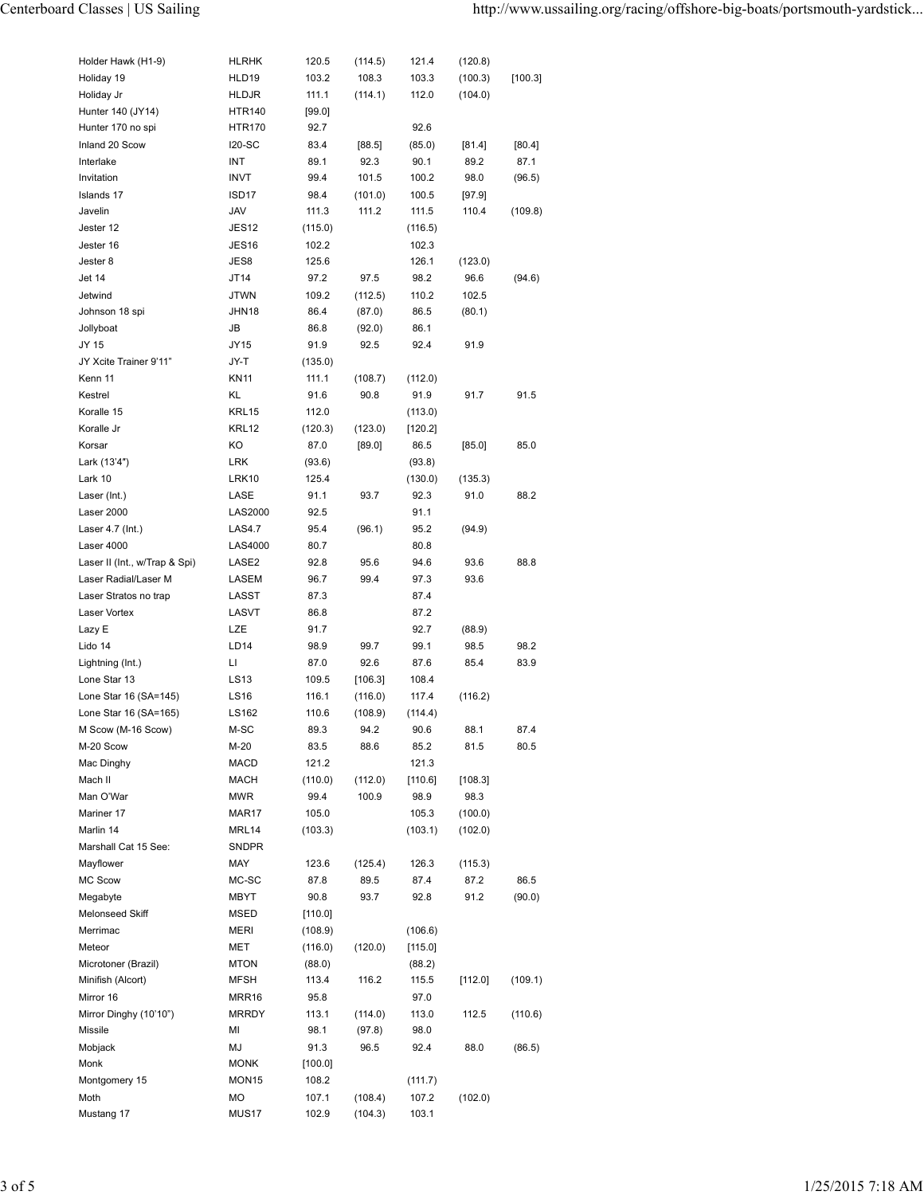| Holder Hawk (H1-9)              | <b>HLRHK</b>          | 120.5            | (114.5) | 121.4              | (120.8)  |         |
|---------------------------------|-----------------------|------------------|---------|--------------------|----------|---------|
| Holiday 19                      | HLD19                 | 103.2            | 108.3   | 103.3              | (100.3)  | [100.3] |
| Holiday Jr                      | <b>HLDJR</b>          | 111.1            | (114.1) | 112.0              | (104.0)  |         |
| Hunter 140 (JY14)               | <b>HTR140</b>         | [99.0]           |         |                    |          |         |
| Hunter 170 no spi               | <b>HTR170</b>         | 92.7             |         | 92.6               |          |         |
| Inland 20 Scow                  | <b>I20-SC</b>         | 83.4             | [88.5]  | (85.0)             | [81.4]   | [80.4]  |
| Interlake                       | INT                   | 89.1             | 92.3    | 90.1               | 89.2     | 87.1    |
| Invitation                      | <b>INVT</b>           | 99.4             | 101.5   | 100.2              | 98.0     | (96.5)  |
| Islands 17                      | ISD <sub>17</sub>     | 98.4             | (101.0) | 100.5              | $[97.9]$ |         |
| Javelin                         | JAV                   | 111.3            | 111.2   | 111.5              | 110.4    | (109.8) |
| Jester 12                       | JES <sub>12</sub>     | (115.0)          |         | (116.5)            |          |         |
| Jester 16                       | <b>JES16</b>          | 102.2            |         | 102.3              |          |         |
| Jester 8                        | JES8                  | 125.6            |         | 126.1              | (123.0)  |         |
| Jet 14                          | JT14                  | 97.2             | 97.5    | 98.2               | 96.6     | (94.6)  |
| Jetwind                         | <b>JTWN</b>           | 109.2            | (112.5) | 110.2              | 102.5    |         |
| Johnson 18 spi                  | JHN18                 | 86.4             | (87.0)  | 86.5               | (80.1)   |         |
| Jollyboat                       | JB                    | 86.8             | (92.0)  | 86.1               |          |         |
| JY 15<br>JY Xcite Trainer 9'11" | JY15                  | 91.9             | 92.5    | 92.4               | 91.9     |         |
| Kenn 11                         | JY-T                  | (135.0)          |         |                    |          |         |
| Kestrel                         | <b>KN11</b><br>KL     | 111.1<br>91.6    | (108.7) | (112.0)            |          | 91.5    |
| Koralle 15                      | KRL15                 |                  | 90.8    | 91.9               | 91.7     |         |
| Koralle Jr                      | KRL12                 | 112.0<br>(120.3) | (123.0) | (113.0)<br>[120.2] |          |         |
| Korsar                          | KO                    | 87.0             | [89.0]  | 86.5               | $[85.0]$ | 85.0    |
| Lark (13'4")                    | <b>LRK</b>            | (93.6)           |         | (93.8)             |          |         |
| Lark 10                         | LRK10                 | 125.4            |         | (130.0)            | (135.3)  |         |
| Laser (Int.)                    | LASE                  | 91.1             | 93.7    | 92.3               | 91.0     | 88.2    |
| Laser 2000                      | <b>LAS2000</b>        | 92.5             |         | 91.1               |          |         |
| Laser 4.7 (Int.)                | <b>LAS4.7</b>         | 95.4             | (96.1)  | 95.2               | (94.9)   |         |
| Laser 4000                      | LAS4000               | 80.7             |         | 80.8               |          |         |
| Laser II (Int., w/Trap & Spi)   | LASE2                 | 92.8             | 95.6    | 94.6               | 93.6     | 88.8    |
| Laser Radial/Laser M            | LASEM                 | 96.7             | 99.4    | 97.3               | 93.6     |         |
| Laser Stratos no trap           | LASST                 | 87.3             |         | 87.4               |          |         |
| Laser Vortex                    | LASVT                 | 86.8             |         | 87.2               |          |         |
| Lazy E                          | LZE                   | 91.7             |         | 92.7               | (88.9)   |         |
| Lido 14                         | LD <sub>14</sub>      | 98.9             | 99.7    | 99.1               | 98.5     | 98.2    |
| Lightning (Int.)                | П                     | 87.0             | 92.6    | 87.6               | 85.4     | 83.9    |
| Lone Star 13                    | LS13                  | 109.5            | [106.3] | 108.4              |          |         |
| Lone Star 16 (SA=145)           | LS16                  | 116.1            | (116.0) | 117.4              | (116.2)  |         |
| Lone Star 16 (SA=165)           | LS162                 | 110.6            | (108.9) | (114.4)            |          |         |
| M Scow (M-16 Scow)              | M-SC                  | 89.3             | 94.2    | 90.6               | 88.1     | 87.4    |
| M-20 Scow                       | M-20                  | 83.5             | 88.6    | 85.2               | 81.5     | 80.5    |
| Mac Dinghy                      | MACD                  | 121.2            |         | 121.3              |          |         |
| Mach II                         | <b>MACH</b>           | (110.0)          | (112.0) | [110.6]            | [108.3]  |         |
| Man O'War                       | <b>MWR</b>            | 99.4             | 100.9   | 98.9               | 98.3     |         |
| Mariner 17                      | MAR17                 | 105.0            |         | 105.3              | (100.0)  |         |
| Marlin 14                       | MRL14                 | (103.3)          |         | (103.1)            | (102.0)  |         |
| Marshall Cat 15 See:            | SNDPR                 |                  |         |                    |          |         |
| Mayflower                       | MAY                   | 123.6            | (125.4) | 126.3              | (115.3)  |         |
| MC Scow                         | MC-SC                 | 87.8             | 89.5    | 87.4               | 87.2     | 86.5    |
| Megabyte                        | MBYT                  | 90.8             | 93.7    | 92.8               | 91.2     | (90.0)  |
| Melonseed Skiff                 | MSED                  | [110.0]          |         |                    |          |         |
| Merrimac                        | MERI                  | (108.9)          |         | (106.6)            |          |         |
| Meteor                          | MET                   | (116.0)          | (120.0) | [115.0]            |          |         |
| Microtoner (Brazil)             | <b>MTON</b>           | (88.0)           |         | (88.2)             |          |         |
| Minifish (Alcort)<br>Mirror 16  | MFSH                  | 113.4            | 116.2   | 115.5              | [112.0]  | (109.1) |
| Mirror Dinghy (10'10")          | MRR16<br><b>MRRDY</b> | 95.8<br>113.1    | (114.0) | 97.0<br>113.0      | 112.5    | (110.6) |
| Missile                         | MI                    | 98.1             | (97.8)  | 98.0               |          |         |
| Mobjack                         | MJ                    | 91.3             | 96.5    | 92.4               | 88.0     | (86.5)  |
| Monk                            | MONK                  | [100.0]          |         |                    |          |         |
| Montgomery 15                   | MON <sub>15</sub>     | 108.2            |         | (111.7)            |          |         |
| Moth                            | МO                    | 107.1            | (108.4) | 107.2              | (102.0)  |         |
| Mustang 17                      | MUS17                 | 102.9            | (104.3) | 103.1              |          |         |
|                                 |                       |                  |         |                    |          |         |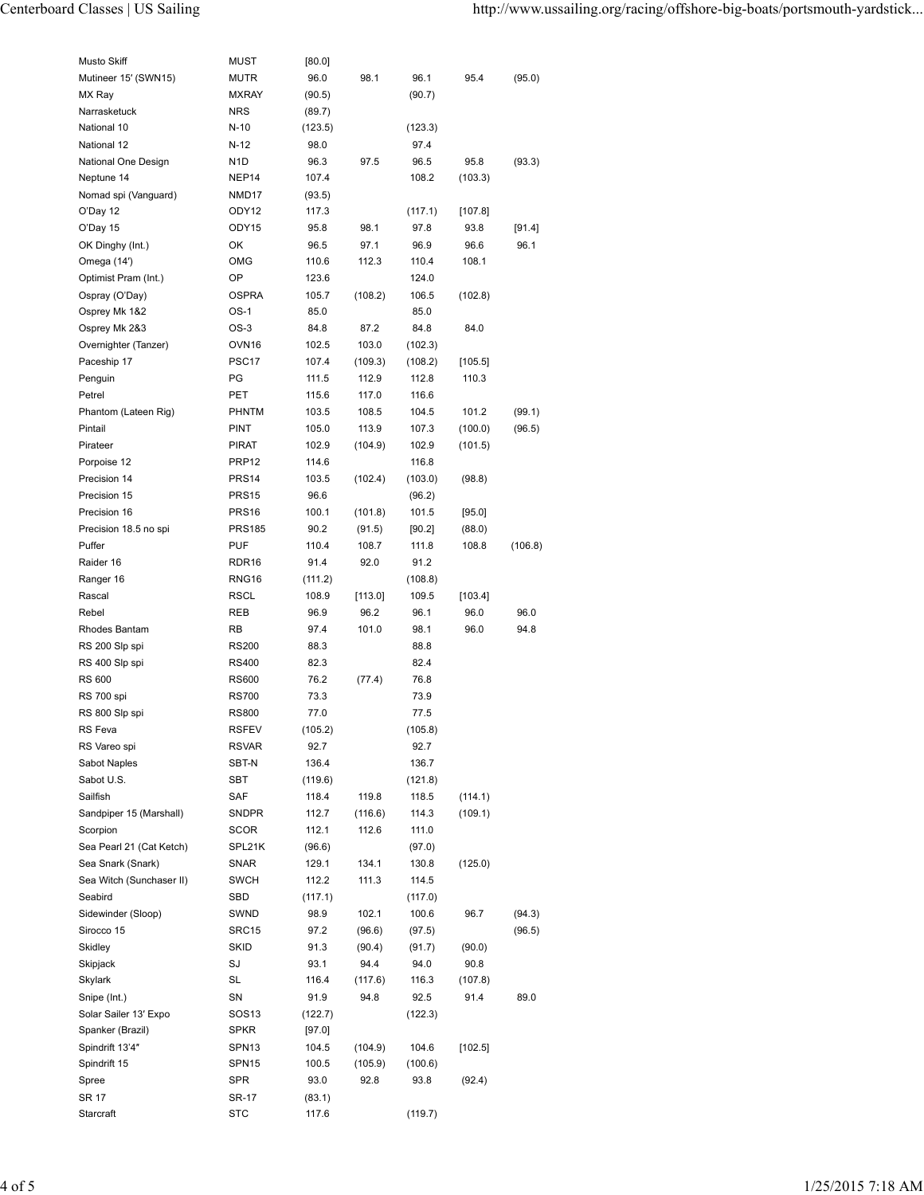| Musto Skiff                         | MUST                             | [80.0]            |                  |                  |           |         |
|-------------------------------------|----------------------------------|-------------------|------------------|------------------|-----------|---------|
| Mutineer 15' (SWN15)                | <b>MUTR</b>                      | 96.0              | 98.1             | 96.1             | 95.4      | (95.0)  |
| MX Ray                              | <b>MXRAY</b>                     | (90.5)            |                  | (90.7)           |           |         |
| Narrasketuck                        | <b>NRS</b>                       | (89.7)            |                  |                  |           |         |
| National 10                         | $N-10$                           | (123.5)           |                  | (123.3)          |           |         |
| National 12                         | $N-12$                           | 98.0              |                  | 97.4             |           |         |
| National One Design                 | N <sub>1</sub> D                 | 96.3              | 97.5             | 96.5             | 95.8      | (93.3)  |
| Neptune 14                          | NEP14                            | 107.4             |                  | 108.2            | (103.3)   |         |
| Nomad spi (Vanguard)                | NMD17                            | (93.5)            |                  |                  |           |         |
| O'Day 12                            | ODY12                            | 117.3             |                  | (117.1)          | $[107.8]$ |         |
| O'Day 15                            | ODY15                            | 95.8              | 98.1             | 97.8             | 93.8      | [91.4]  |
| OK Dinghy (Int.)                    | ОК                               | 96.5              | 97.1             | 96.9             | 96.6      | 96.1    |
| Omega (14')                         | <b>OMG</b>                       | 110.6             | 112.3            | 110.4            | 108.1     |         |
| Optimist Pram (Int.)                | OP                               | 123.6             |                  | 124.0            |           |         |
| Ospray (O'Day)                      | <b>OSPRA</b>                     | 105.7             | (108.2)          | 106.5            | (102.8)   |         |
| Osprey Mk 1&2                       | $OS-1$                           | 85.0              |                  | 85.0             |           |         |
| Osprey Mk 2&3                       | $OS-3$                           | 84.8              | 87.2             | 84.8             | 84.0      |         |
| Overnighter (Tanzer)                | OVN <sub>16</sub>                | 102.5             | 103.0            | (102.3)          |           |         |
| Paceship 17                         | PSC <sub>17</sub>                | 107.4             | (109.3)          | (108.2)          | [105.5]   |         |
| Penguin                             | PG                               | 111.5             | 112.9            | 112.8            | 110.3     |         |
| Petrel                              | PET                              | 115.6             | 117.0            | 116.6            |           |         |
| Phantom (Lateen Rig)                | <b>PHNTM</b>                     | 103.5             | 108.5            | 104.5            | 101.2     | (99.1)  |
| Pintail                             | PINT                             | 105.0             | 113.9            | 107.3            | (100.0)   | (96.5)  |
| Pirateer                            | <b>PIRAT</b>                     | 102.9             | (104.9)          | 102.9            | (101.5)   |         |
| Porpoise 12                         | PRP <sub>12</sub>                | 114.6             |                  | 116.8            |           |         |
| Precision 14                        | <b>PRS14</b>                     | 103.5             | (102.4)          | (103.0)          | (98.8)    |         |
| Precision 15                        | <b>PRS15</b>                     | 96.6              |                  | (96.2)           |           |         |
| Precision 16                        | PRS <sub>16</sub>                | 100.1             | (101.8)          | 101.5            | $[95.0]$  |         |
| Precision 18.5 no spi               | <b>PRS185</b>                    | 90.2              | (91.5)           | $[90.2]$         | (88.0)    |         |
| Puffer                              | PUF                              | 110.4             | 108.7            | 111.8            | 108.8     | (106.8) |
| Raider 16                           | RDR <sub>16</sub>                | 91.4              | 92.0             | 91.2             |           |         |
| Ranger 16                           | RNG <sub>16</sub>                | (111.2)           |                  | (108.8)          |           |         |
|                                     | <b>RSCL</b>                      |                   |                  | 109.5            | [103.4]   |         |
|                                     |                                  |                   |                  |                  |           |         |
| Rascal                              |                                  | 108.9             | [113.0]          |                  |           |         |
| Rebel                               | <b>REB</b>                       | 96.9              | 96.2             | 96.1             | 96.0      | 96.0    |
| Rhodes Bantam                       | RB                               | 97.4              | 101.0            | 98.1             | 96.0      | 94.8    |
| RS 200 Slp spi                      | <b>RS200</b>                     | 88.3              |                  | 88.8             |           |         |
| RS 400 Slp spi                      | <b>RS400</b>                     | 82.3              |                  | 82.4             |           |         |
| RS 600                              | <b>RS600</b>                     | 76.2              | (77.4)           | 76.8             |           |         |
| RS 700 spi                          | <b>RS700</b>                     | 73.3              |                  | 73.9             |           |         |
| RS 800 Slp spi                      | <b>RS800</b>                     | 77.0              |                  | 77.5             |           |         |
| RS Feva                             | <b>RSFEV</b>                     | (105.2)           |                  | (105.8)          |           |         |
| RS Vareo spi                        | RSVAR                            | 92.7              |                  | 92.7             |           |         |
| Sabot Naples                        | SBT-N                            | 136.4             |                  | 136.7            |           |         |
| Sabot U.S.                          | SBT                              | (119.6)           |                  | (121.8)          |           |         |
| Sailfish                            | SAF                              | 118.4             | 119.8            | 118.5            | (114.1)   |         |
| Sandpiper 15 (Marshall)             | <b>SNDPR</b>                     | 112.7             | (116.6)          | 114.3            | (109.1)   |         |
| Scorpion                            | <b>SCOR</b>                      | 112.1             | 112.6            | 111.0            |           |         |
| Sea Pearl 21 (Cat Ketch)            | SPL21K                           | (96.6)            |                  | (97.0)           |           |         |
| Sea Snark (Snark)                   | <b>SNAR</b>                      | 129.1             | 134.1            | 130.8            | (125.0)   |         |
| Sea Witch (Sunchaser II)            | <b>SWCH</b>                      | 112.2             | 111.3            | 114.5            |           |         |
| Seabird                             | SBD                              | (117.1)           |                  | (117.0)          |           |         |
| Sidewinder (Sloop)                  | SWND                             | 98.9              | 102.1            | 100.6            | 96.7      | (94.3)  |
| Sirocco 15<br>Skidley               | SRC15<br><b>SKID</b>             | 97.2<br>91.3      | (96.6)<br>(90.4) | (97.5)<br>(91.7) | (90.0)    | (96.5)  |
| Skipjack                            | SJ                               | 93.1              | 94.4             | 94.0             | 90.8      |         |
|                                     |                                  |                   |                  |                  |           |         |
| Skylark                             | <b>SL</b>                        | 116.4             | (117.6)          | 116.3            | (107.8)   |         |
| Snipe (Int.)                        | SN                               | 91.9              | 94.8             | 92.5             | 91.4      | 89.0    |
| Solar Sailer 13' Expo               | SOS <sub>13</sub><br><b>SPKR</b> | (122.7)           |                  | (122.3)          |           |         |
| Spanker (Brazil)<br>Spindrift 13'4" | SPN <sub>13</sub>                | $[97.0]$<br>104.5 | (104.9)          | 104.6            | $[102.5]$ |         |
|                                     | SPN <sub>15</sub>                |                   |                  |                  |           |         |
| Spindrift 15<br>Spree               | <b>SPR</b>                       | 100.5<br>93.0     | (105.9)<br>92.8  | (100.6)<br>93.8  | (92.4)    |         |
| SR 17                               | SR-17                            | (83.1)            |                  |                  |           |         |
| Starcraft                           | STC                              | 117.6             |                  | (119.7)          |           |         |